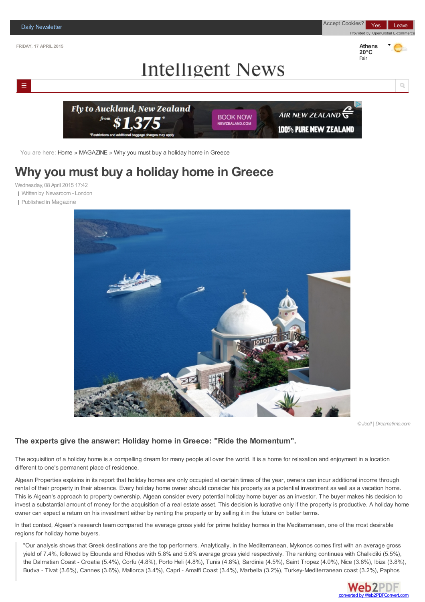

You are here: [Home](http://intelligent-news.com/) » [MAGAZINE](/greece/markets) » Why you must buy a holiday home in Greece

# **Why you [must](/greece/athens-newspaper-headlines) buy a holiday home in Greece**

Wednesday, 08 April 2015 17:42

Written by [Newsroom](/world) - London

Published in [Magazin](/magazine)[e](/world/europe)



*©Jcoll | Dreamstime.com*

### **The experts give the answer: Holiday home in Greece: "Ride the Momentum".**

The acquisition of a holiday home is a compelling dream for many people all over the world. It is a home for relaxation and enjoyment in a location different to one's permanent place of residence.

Algean Properties explains in its report that holiday homes are only occupied at certain times of the year, owners can incur additional income through rental of their property in their absence. Every holiday home owner should consider his property as a potential investment as well as a vacation home. This is Algean's approach to property ownership. Algean consider every potential holiday home buyer as an investor. The buyer makes his decision to invest a substantial amount of money for the acquisition of a real estate asset. This decision is lucrative only if the property is productive. A holiday home owner can expect a return on his investment either by renting the property or by selling it in the future on better terms.

In that context, Algean's research team compared the average gross yield for prime holiday homes in the Mediterranean, one of the most desirable regions for holiday home buyers.

"Our analysis shows that Greek destinations are the top performers. Analytically, in the Mediterranean, Mykonos comes first with an average gross yield of 7.4%, followed by Elounda and Rhodes with 5.8% and 5.6% average gross yield respectively. The ranking continues with Chalkidiki (5.5%), the Dalmatian Coast - Croatia (5.4%), Corfu (4.8%), Porto Heli (4.8%), Tunis (4.8%), Sardinia (4.5%), Saint Tropez (4.0%), Nice (3.8%), Ibiza (3.8%), Budva - Tivat (3.6%), Cannes (3.6%), Mallorca (3.4%), Capri - Amalfi Coast (3.4%), Marbella (3.2%), Turkey-Mediterranean coast (3.2%), [Paphos](http://www.web2pdfconvert.com?ref=PDF)

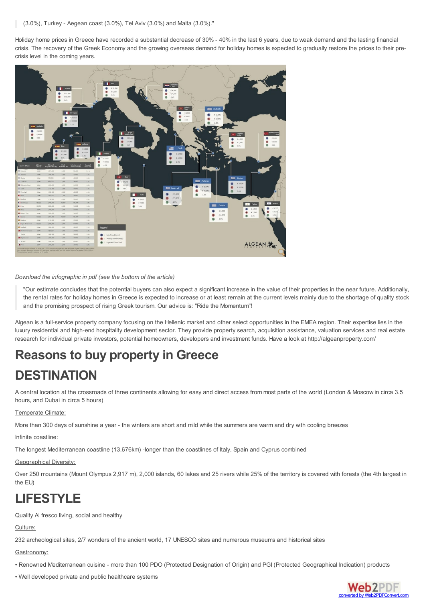Holiday home prices in Greece have recorded a substantial decrease of 30% - 40% in the last 6 years, due to weak demand and the lasting financial crisis. The recovery of the Greek Economy and the growing overseas demand for holiday homes is expected to gradually restore the prices to their precrisis level in the coming years.



#### *Download the infographic in pdf (see the bottom of the article)*

"Our estimate concludes that the potential buyers can also expect a significant increase in the value of their properties in the near future. Additionally, the rental rates for holiday homes in Greece is expected to increase or at least remain at the current levels mainly due to the shortage of quality stock and the promising prospect of rising Greek tourism. Our advice is: "Ride the Momentum"!

Algean is a full-service property company focusing on the Hellenic market and other select opportunities in the EMEA region. Their expertise lies in the luxury residential and high-end hospitality development sector. They provide property search, acquisition assistance, valuation services and real estate research for individual private investors, potential homeowners, developers and investment funds. Have a look at http://algeanproperty.com/

# **Reasons to buy property in Greece**

# **DESTINATION**

A central location at the crossroads of three continents allowing for easy and direct access from most parts of the world (London & Moscow in circa 3.5 hours, and Dubai in circa 5 hours)

### Temperate Climate:

More than 300 days of sunshine a year - the winters are short and mild while the summers are warm and dry with cooling breezes

### Infinite coastline:

The longest Mediterranean coastline (13,676km) -longer than the coastlines of Italy, Spain and Cyprus combined

#### Geographical Diversity:

Over 250 mountains (Mount Olympus 2,917 m), 2,000 islands, 60 lakes and 25 rivers while 25% of the territory is covered with forests (the 4th largest in the EU)

# **LIFESTYLE**

Quality Al fresco living, social and healthy

### Culture:

232 archeological sites, 2/7 wonders of the ancient world, 17 UNESCO sites and numerous museums and historical sites

Gastronomy:

- Renowned Mediterranean cuisine more than 100 PDO (Protected Designation of Origin) and PGI (Protected Geographical Indication) products
- Well developed private and public healthcare systems